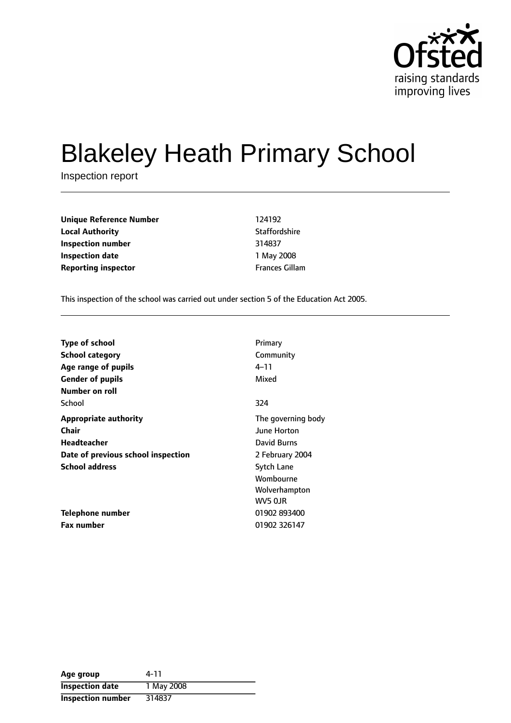

# Blakeley Heath Primary School

Inspection report

**Unique Reference Number** 124192 **Local Authority Contract Contract Contract Authority** Staffordshire **Inspection number** 314837 **Inspection date** 1 May 2008 **Reporting inspector Frances Gillam** 

This inspection of the school was carried out under section 5 of the Education Act 2005.

| Type of school                     | Primary            |
|------------------------------------|--------------------|
| <b>School category</b>             | Community          |
| Age range of pupils                | 4–11               |
| <b>Gender of pupils</b>            | Mixed              |
| Number on roll                     |                    |
| School                             | 324                |
| <b>Appropriate authority</b>       | The governing body |
| Chair                              | <b>June Horton</b> |
| Headteacher                        | David Burns        |
| Date of previous school inspection | 2 February 2004    |
| <b>School address</b>              | Sytch Lane         |
|                                    | Wombourne          |
|                                    | Wolverhampton      |
|                                    | WV5 OJR            |
| Telephone number                   | 01902 893400       |
| <b>Fax number</b>                  | 01902 326147       |

| Age group              | 4-11       |
|------------------------|------------|
| <b>Inspection date</b> | 1 May 2008 |
| Inspection number      | 314837     |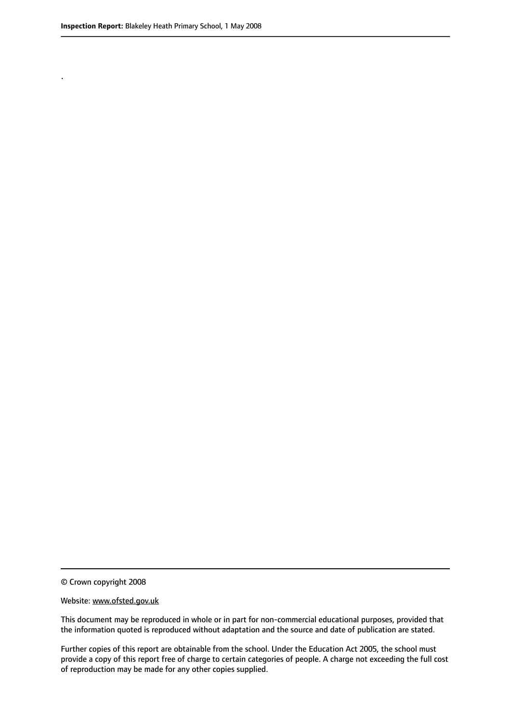.

© Crown copyright 2008

#### Website: www.ofsted.gov.uk

This document may be reproduced in whole or in part for non-commercial educational purposes, provided that the information quoted is reproduced without adaptation and the source and date of publication are stated.

Further copies of this report are obtainable from the school. Under the Education Act 2005, the school must provide a copy of this report free of charge to certain categories of people. A charge not exceeding the full cost of reproduction may be made for any other copies supplied.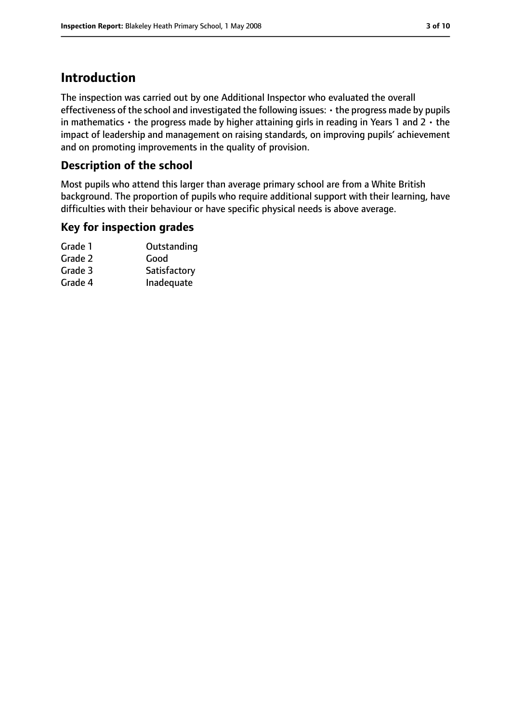# **Introduction**

The inspection was carried out by one Additional Inspector who evaluated the overall effectiveness of the school and investigated the following issues: • the progress made by pupils in mathematics  $\cdot$  the progress made by higher attaining girls in reading in Years 1 and 2  $\cdot$  the impact of leadership and management on raising standards, on improving pupils' achievement and on promoting improvements in the quality of provision.

## **Description of the school**

Most pupils who attend this larger than average primary school are from a White British background. The proportion of pupils who require additional support with their learning, have difficulties with their behaviour or have specific physical needs is above average.

## **Key for inspection grades**

| Outstanding  |
|--------------|
| Good         |
| Satisfactory |
| Inadequate   |
|              |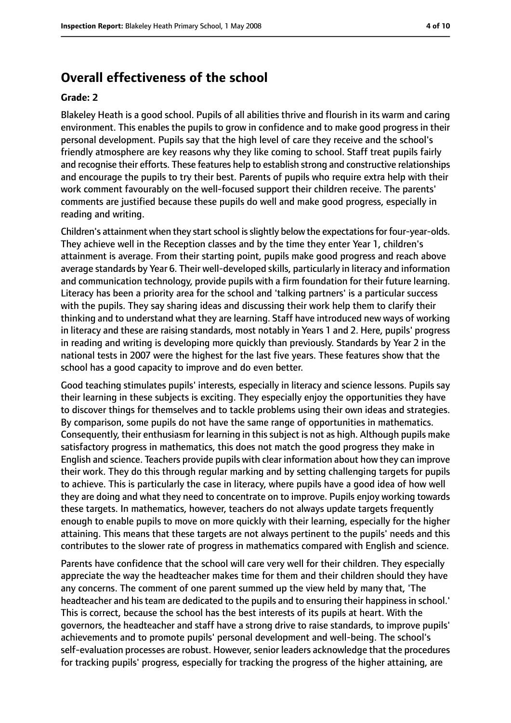## **Overall effectiveness of the school**

#### **Grade: 2**

Blakeley Heath is a good school. Pupils of all abilities thrive and flourish in its warm and caring environment. This enables the pupils to grow in confidence and to make good progress in their personal development. Pupils say that the high level of care they receive and the school's friendly atmosphere are key reasons why they like coming to school. Staff treat pupils fairly and recognise their efforts. These features help to establish strong and constructive relationships and encourage the pupils to try their best. Parents of pupils who require extra help with their work comment favourably on the well-focused support their children receive. The parents' comments are justified because these pupils do well and make good progress, especially in reading and writing.

Children's attainment when they start school is slightly below the expectations for four-year-olds. They achieve well in the Reception classes and by the time they enter Year 1, children's attainment is average. From their starting point, pupils make good progress and reach above average standards by Year 6. Their well-developed skills, particularly in literacy and information and communication technology, provide pupils with a firm foundation for their future learning. Literacy has been a priority area for the school and 'talking partners' is a particular success with the pupils. They say sharing ideas and discussing their work help them to clarify their thinking and to understand what they are learning. Staff have introduced new ways of working in literacy and these are raising standards, most notably in Years 1 and 2. Here, pupils' progress in reading and writing is developing more quickly than previously. Standards by Year 2 in the national tests in 2007 were the highest for the last five years. These features show that the school has a good capacity to improve and do even better.

Good teaching stimulates pupils' interests, especially in literacy and science lessons. Pupils say their learning in these subjects is exciting. They especially enjoy the opportunities they have to discover things for themselves and to tackle problems using their own ideas and strategies. By comparison, some pupils do not have the same range of opportunities in mathematics. Consequently, their enthusiasm for learning in this subject is not as high. Although pupils make satisfactory progress in mathematics, this does not match the good progress they make in English and science. Teachers provide pupils with clear information about how they can improve their work. They do this through regular marking and by setting challenging targets for pupils to achieve. This is particularly the case in literacy, where pupils have a good idea of how well they are doing and what they need to concentrate on to improve. Pupils enjoy working towards these targets. In mathematics, however, teachers do not always update targets frequently enough to enable pupils to move on more quickly with their learning, especially for the higher attaining. This means that these targets are not always pertinent to the pupils' needs and this contributes to the slower rate of progress in mathematics compared with English and science.

Parents have confidence that the school will care very well for their children. They especially appreciate the way the headteacher makes time for them and their children should they have any concerns. The comment of one parent summed up the view held by many that, 'The headteacher and his team are dedicated to the pupils and to ensuring their happiness in school.' This is correct, because the school has the best interests of its pupils at heart. With the governors, the headteacher and staff have a strong drive to raise standards, to improve pupils' achievements and to promote pupils' personal development and well-being. The school's self-evaluation processes are robust. However, senior leaders acknowledge that the procedures for tracking pupils' progress, especially for tracking the progress of the higher attaining, are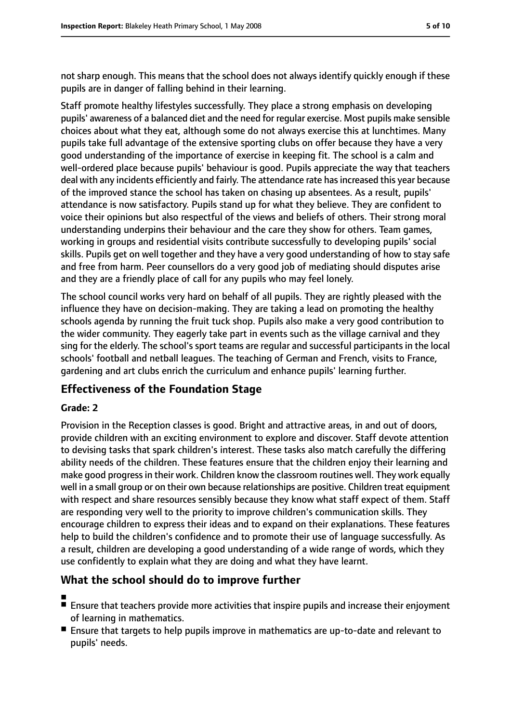not sharp enough. This means that the school does not always identify quickly enough if these pupils are in danger of falling behind in their learning.

Staff promote healthy lifestyles successfully. They place a strong emphasis on developing pupils' awareness of a balanced diet and the need for regular exercise. Most pupils make sensible choices about what they eat, although some do not always exercise this at lunchtimes. Many pupils take full advantage of the extensive sporting clubs on offer because they have a very good understanding of the importance of exercise in keeping fit. The school is a calm and well-ordered place because pupils' behaviour is good. Pupils appreciate the way that teachers deal with any incidents efficiently and fairly. The attendance rate has increased this year because of the improved stance the school has taken on chasing up absentees. As a result, pupils' attendance is now satisfactory. Pupils stand up for what they believe. They are confident to voice their opinions but also respectful of the views and beliefs of others. Their strong moral understanding underpins their behaviour and the care they show for others. Team games, working in groups and residential visits contribute successfully to developing pupils' social skills. Pupils get on well together and they have a very good understanding of how to stay safe and free from harm. Peer counsellors do a very good job of mediating should disputes arise and they are a friendly place of call for any pupils who may feel lonely.

The school council works very hard on behalf of all pupils. They are rightly pleased with the influence they have on decision-making. They are taking a lead on promoting the healthy schools agenda by running the fruit tuck shop. Pupils also make a very good contribution to the wider community. They eagerly take part in events such as the village carnival and they sing for the elderly. The school's sport teams are regular and successful participants in the local schools' football and netball leagues. The teaching of German and French, visits to France, gardening and art clubs enrich the curriculum and enhance pupils' learning further.

## **Effectiveness of the Foundation Stage**

## **Grade: 2**

Provision in the Reception classes is good. Bright and attractive areas, in and out of doors, provide children with an exciting environment to explore and discover. Staff devote attention to devising tasks that spark children's interest. These tasks also match carefully the differing ability needs of the children. These features ensure that the children enjoy their learning and make good progressin their work. Children know the classroom routines well. They work equally well in a small group or on their own because relationships are positive. Children treat equipment with respect and share resources sensibly because they know what staff expect of them. Staff are responding very well to the priority to improve children's communication skills. They encourage children to express their ideas and to expand on their explanations. These features help to build the children's confidence and to promote their use of language successfully. As a result, children are developing a good understanding of a wide range of words, which they use confidently to explain what they are doing and what they have learnt.

## **What the school should do to improve further**

- ■
- Ensure that teachers provide more activities that inspire pupils and increase their enjoyment of learning in mathematics.
- Ensure that targets to help pupils improve in mathematics are up-to-date and relevant to pupils' needs.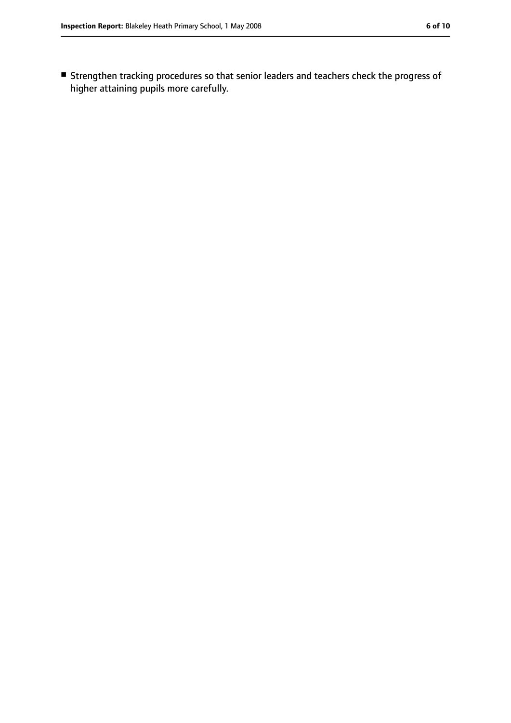■ Strengthen tracking procedures so that senior leaders and teachers check the progress of higher attaining pupils more carefully.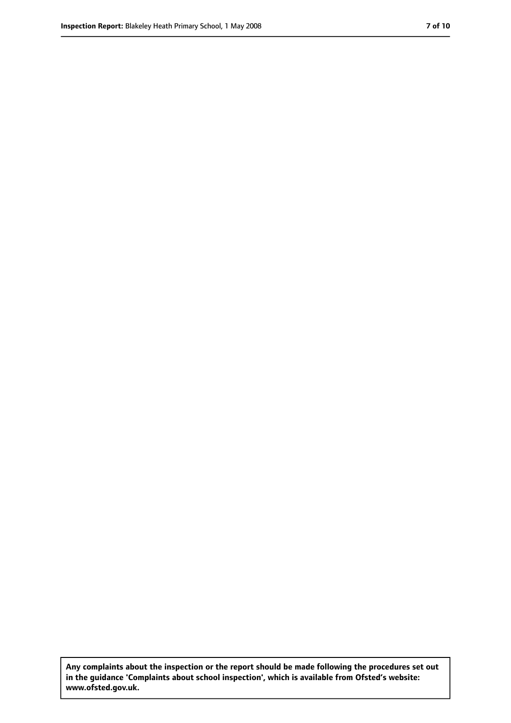**Any complaints about the inspection or the report should be made following the procedures set out in the guidance 'Complaints about school inspection', which is available from Ofsted's website: www.ofsted.gov.uk.**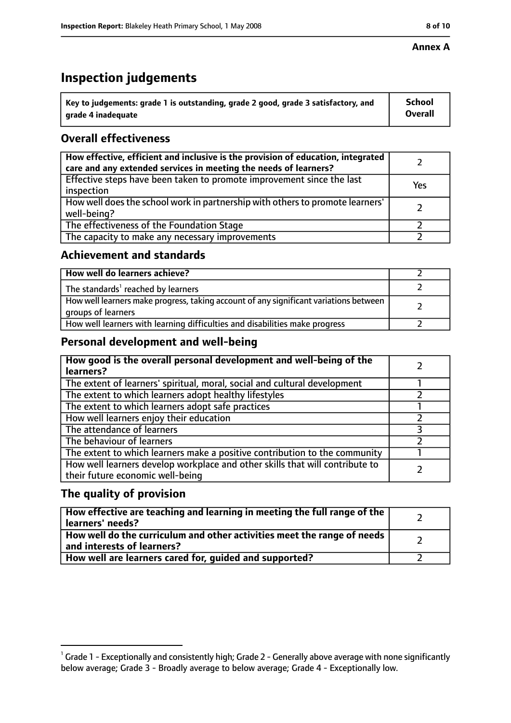#### **Annex A**

# **Inspection judgements**

| $^{\backprime}$ Key to judgements: grade 1 is outstanding, grade 2 good, grade 3 satisfactory, and | <b>School</b>  |
|----------------------------------------------------------------------------------------------------|----------------|
| arade 4 inadequate                                                                                 | <b>Overall</b> |

## **Overall effectiveness**

| How effective, efficient and inclusive is the provision of education, integrated<br>care and any extended services in meeting the needs of learners? |     |
|------------------------------------------------------------------------------------------------------------------------------------------------------|-----|
| Effective steps have been taken to promote improvement since the last<br>inspection                                                                  | Yes |
| How well does the school work in partnership with others to promote learners'<br>well-being?                                                         |     |
| The effectiveness of the Foundation Stage                                                                                                            |     |
| The capacity to make any necessary improvements                                                                                                      |     |

## **Achievement and standards**

| How well do learners achieve?                                                                               |  |
|-------------------------------------------------------------------------------------------------------------|--|
| The standards <sup>1</sup> reached by learners                                                              |  |
| How well learners make progress, taking account of any significant variations between<br>groups of learners |  |
| How well learners with learning difficulties and disabilities make progress                                 |  |

## **Personal development and well-being**

| How good is the overall personal development and well-being of the<br>learners?                                  |  |
|------------------------------------------------------------------------------------------------------------------|--|
| The extent of learners' spiritual, moral, social and cultural development                                        |  |
| The extent to which learners adopt healthy lifestyles                                                            |  |
| The extent to which learners adopt safe practices                                                                |  |
| How well learners enjoy their education                                                                          |  |
| The attendance of learners                                                                                       |  |
| The behaviour of learners                                                                                        |  |
| The extent to which learners make a positive contribution to the community                                       |  |
| How well learners develop workplace and other skills that will contribute to<br>their future economic well-being |  |

## **The quality of provision**

| How effective are teaching and learning in meeting the full range of the<br>learners' needs?          |  |
|-------------------------------------------------------------------------------------------------------|--|
| How well do the curriculum and other activities meet the range of needs<br>and interests of learners? |  |
| How well are learners cared for, guided and supported?                                                |  |

 $^1$  Grade 1 - Exceptionally and consistently high; Grade 2 - Generally above average with none significantly below average; Grade 3 - Broadly average to below average; Grade 4 - Exceptionally low.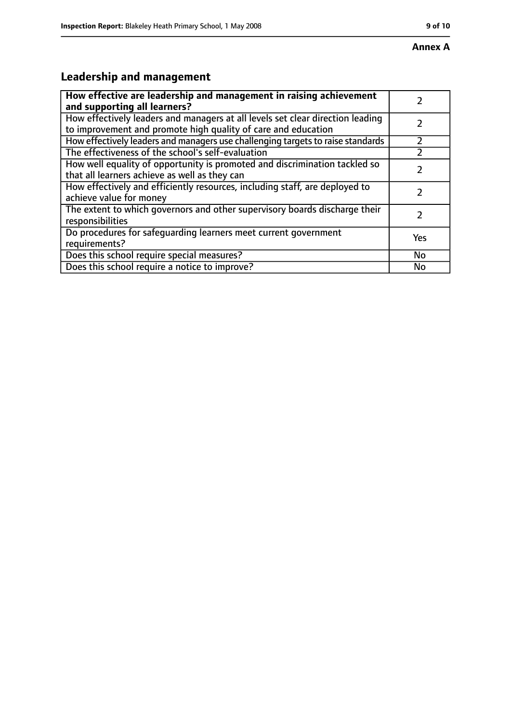## **Annex A**

# **Leadership and management**

| How effective are leadership and management in raising achievement<br>and supporting all learners?                                              |     |
|-------------------------------------------------------------------------------------------------------------------------------------------------|-----|
| How effectively leaders and managers at all levels set clear direction leading<br>to improvement and promote high quality of care and education |     |
| How effectively leaders and managers use challenging targets to raise standards                                                                 |     |
| The effectiveness of the school's self-evaluation                                                                                               |     |
| How well equality of opportunity is promoted and discrimination tackled so<br>that all learners achieve as well as they can                     |     |
| How effectively and efficiently resources, including staff, are deployed to<br>achieve value for money                                          | 7   |
| The extent to which governors and other supervisory boards discharge their<br>responsibilities                                                  | 7   |
| Do procedures for safequarding learners meet current government<br>requirements?                                                                | Yes |
| Does this school require special measures?                                                                                                      | No  |
| Does this school require a notice to improve?                                                                                                   | No  |